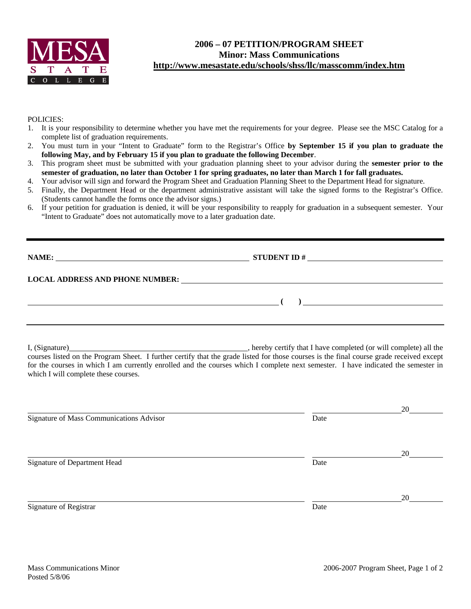

## **2006 – 07 PETITION/PROGRAM SHEET Minor: Mass Communications http://www.mesastate.edu/schools/shss/llc/masscomm/index.htm**

## POLICIES:

- 1. It is your responsibility to determine whether you have met the requirements for your degree. Please see the MSC Catalog for a complete list of graduation requirements.
- 2. You must turn in your "Intent to Graduate" form to the Registrar's Office **by September 15 if you plan to graduate the following May, and by February 15 if you plan to graduate the following December**.
- 3. This program sheet must be submitted with your graduation planning sheet to your advisor during the **semester prior to the semester of graduation, no later than October 1 for spring graduates, no later than March 1 for fall graduates.**
- 4. Your advisor will sign and forward the Program Sheet and Graduation Planning Sheet to the Department Head for signature.
- 5. Finally, the Department Head or the department administrative assistant will take the signed forms to the Registrar's Office. (Students cannot handle the forms once the advisor signs.)
- 6. If your petition for graduation is denied, it will be your responsibility to reapply for graduation in a subsequent semester. Your "Intent to Graduate" does not automatically move to a later graduation date.

| NAME:<br><u> 1980 - Jan Stein Bernstein, mars and der Stein Bernstein und der Stein Bernstein und der Stein Bernstein und</u> | <b>STUDENT ID#</b> |  |
|-------------------------------------------------------------------------------------------------------------------------------|--------------------|--|
| <b>LOCAL ADDRESS AND PHONE NUMBER:</b>                                                                                        |                    |  |
|                                                                                                                               |                    |  |
|                                                                                                                               |                    |  |

I, (Signature) , hereby certify that I have completed (or will complete) all the courses listed on the Program Sheet. I further certify that the grade listed for those courses is the final course grade received except for the courses in which I am currently enrolled and the courses which I complete next semester. I have indicated the semester in which I will complete these courses.

|                                          |      | 20 |
|------------------------------------------|------|----|
| Signature of Mass Communications Advisor | Date |    |
|                                          |      | 20 |
| Signature of Department Head             | Date |    |
|                                          |      | 20 |
| Signature of Registrar                   | Date |    |